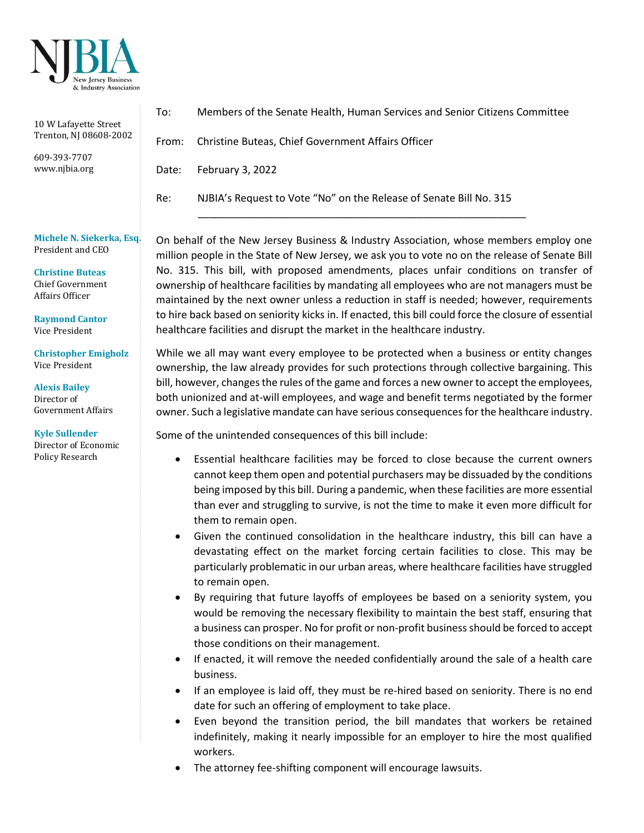

| 10 W Lafayette Street<br>Trenton, NJ 08608-2002 | To:   | Members of the Senate Health, Human Services and Senior Citizens Committee |
|-------------------------------------------------|-------|----------------------------------------------------------------------------|
|                                                 | From: | Christine Buteas, Chief Government Affairs Officer                         |
| 609-393-7707<br>www.njbia.org                   | Date: | February 3, 2022                                                           |
|                                                 | Re:   | NJBIA's Request to Vote "No" on the Release of Senate Bill No. 315         |
|                                                 |       |                                                                            |

**Michele N. Siekerka, Esq.** President and CEO

**Christine Buteas** Chief Government Affairs Officer

**Raymond Cantor** Vice President

**Christopher Emigholz** Vice President

**Alexis Bailey**  Director of Government Affairs

**Kyle Sullender** Director of Economic Policy Research

On behalf of the New Jersey Business & Industry Association, whose members employ one million people in the State of New Jersey, we ask you to vote no on the release of Senate Bill No. 315. This bill, with proposed amendments, places unfair conditions on transfer of ownership of healthcare facilities by mandating all employees who are not managers must be maintained by the next owner unless a reduction in staff is needed; however, requirements to hire back based on seniority kicks in. If enacted, this bill could force the closure of essential healthcare facilities and disrupt the market in the healthcare industry.

While we all may want every employee to be protected when a business or entity changes ownership, the law already provides for such protections through collective bargaining. This bill, however, changes the rules of the game and forces a new owner to accept the employees, both unionized and at-will employees, and wage and benefit terms negotiated by the former owner. Such a legislative mandate can have serious consequences for the healthcare industry.

Some of the unintended consequences of this bill include:

- Essential healthcare facilities may be forced to close because the current owners cannot keep them open and potential purchasers may be dissuaded by the conditions being imposed by this bill. During a pandemic, when these facilities are more essential than ever and struggling to survive, is not the time to make it even more difficult for them to remain open.
- Given the continued consolidation in the healthcare industry, this bill can have a devastating effect on the market forcing certain facilities to close. This may be particularly problematic in our urban areas, where healthcare facilities have struggled to remain open.
- By requiring that future layoffs of employees be based on a seniority system, you would be removing the necessary flexibility to maintain the best staff, ensuring that a business can prosper. No for profit or non-profit business should be forced to accept those conditions on their management.
- If enacted, it will remove the needed confidentially around the sale of a health care business.
- If an employee is laid off, they must be re-hired based on seniority. There is no end date for such an offering of employment to take place.
- Even beyond the transition period, the bill mandates that workers be retained indefinitely, making it nearly impossible for an employer to hire the most qualified workers.
- The attorney fee-shifting component will encourage lawsuits.